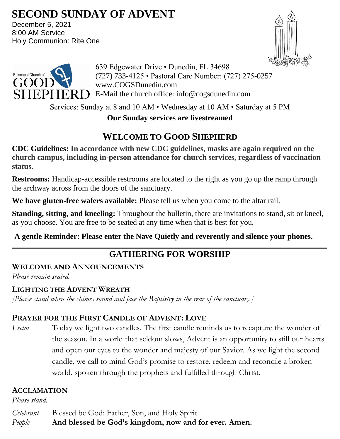# **SECOND SUNDAY OF ADVENT**

December 5, 2021 8:00 AM Service Holy Communion: Rite One





639 Edgewater Drive • Dunedin, FL 34698 (727) 733-4125 • Pastoral Care Number: (727) 275-0257 www.COGSDunedin.com  $SHEPHERD$  E-Mail the church office: info@cogsdunedin.com

Services: Sunday at 8 and 10 AM • Wednesday at 10 AM • Saturday at 5 PM

**Our Sunday services are livestreamed**

# **WELCOME TO GOOD SHEPHERD**

**CDC Guidelines: In accordance with new CDC guidelines, masks are again required on the church campus, including in-person attendance for church services, regardless of vaccination status.**

**Restrooms:** Handicap-accessible restrooms are located to the right as you go up the ramp through the archway across from the doors of the sanctuary.

**We have gluten-free wafers available:** Please tell us when you come to the altar rail.

**Standing, sitting, and kneeling:** Throughout the bulletin, there are invitations to stand, sit or kneel, as you choose. You are free to be seated at any time when that is best for you.

# **A gentle Reminder: Please enter the Nave Quietly and reverently and silence your phones.**

# **GATHERING FOR WORSHIP**

# **WELCOME AND ANNOUNCEMENTS**

*Please remain seated.*

# **LIGHTING THE ADVENT WREATH**

*[Please stand when the chimes sound and face the Baptistry in the rear of the sanctuary.]*

# **PRAYER FOR THE FIRST CANDLE OF ADVENT: LOVE**

*Lector* Today we light two candles. The first candle reminds us to recapture the wonder of the season. In a world that seldom slows, Advent is an opportunity to still our hearts and open our eyes to the wonder and majesty of our Savior. As we light the second candle, we call to mind God's promise to restore, redeem and reconcile a broken world, spoken through the prophets and fulfilled through Christ.

# **ACCLAMATION**

*Please stand.*

*Celebrant* Blessed be God: Father, Son, and Holy Spirit. *People* **And blessed be God's kingdom, now and for ever. Amen.**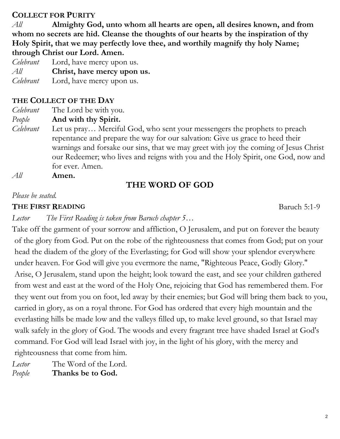## **COLLECT FOR PURITY**

*All* **Almighty God, unto whom all hearts are open, all desires known, and from whom no secrets are hid. Cleanse the thoughts of our hearts by the inspiration of thy Holy Spirit, that we may perfectly love thee, and worthily magnify thy holy Name; through Christ our Lord. Amen.**

*Celebrant* Lord, have mercy upon us. *All* **Christ, have mercy upon us.** *Celebrant* Lord, have mercy upon us.

## **THE COLLECT OF THE DAY**

*Celebrant* The Lord be with you.

*People* **And with thy Spirit.**

- *Celebrant* Let us pray… Merciful God, who sent your messengers the prophets to preach repentance and prepare the way for our salvation: Give us grace to heed their warnings and forsake our sins, that we may greet with joy the coming of Jesus Christ our Redeemer; who lives and reigns with you and the Holy Spirit, one God, now and for ever. Amen.
- *All* **Amen.**

# **THE WORD OF GOD**

#### *Please be seated.*

#### **THE FIRST READING** Baruch 5:1-9

*Lector The First Reading is taken from Baruch chapter 5…*

Take off the garment of your sorrow and affliction, O Jerusalem, and put on forever the beauty of the glory from God. Put on the robe of the righteousness that comes from God; put on your head the diadem of the glory of the Everlasting; for God will show your splendor everywhere under heaven. For God will give you evermore the name, "Righteous Peace, Godly Glory." Arise, O Jerusalem, stand upon the height; look toward the east, and see your children gathered from west and east at the word of the Holy One, rejoicing that God has remembered them. For they went out from you on foot, led away by their enemies; but God will bring them back to you, carried in glory, as on a royal throne. For God has ordered that every high mountain and the everlasting hills be made low and the valleys filled up, to make level ground, so that Israel may walk safely in the glory of God. The woods and every fragrant tree have shaded Israel at God's command. For God will lead Israel with joy, in the light of his glory, with the mercy and righteousness that come from him.

Lector The Word of the Lord. *People* **Thanks be to God.**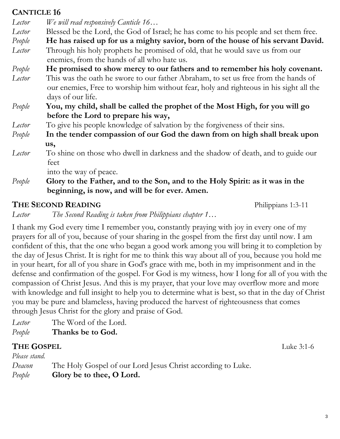## **CANTICLE 16**

*Lector We will read responsively Canticle 16…*

- *Lector* Blessed be the Lord, the God of Israel; he has come to his people and set them free.
- *People* **He has raised up for us a mighty savior, born of the house of his servant David.** *Lector* Through his holy prophets he promised of old, that he would save us from our enemies, from the hands of all who hate us.
- *People* **He promised to show mercy to our fathers and to remember his holy covenant.**
- *Lector* This was the oath he swore to our father Abraham, to set us free from the hands of our enemies, Free to worship him without fear, holy and righteous in his sight all the days of our life.
- *People* **You, my child, shall be called the prophet of the Most High, for you will go before the Lord to prepare his way,**
- *Lector* To give his people knowledge of salvation by the forgiveness of their sins.
- *People* **In the tender compassion of our God the dawn from on high shall break upon** **us,**
- *Lector* To shine on those who dwell in darkness and the shadow of death, and to guide our feet

into the way of peace.

*People* **Glory to the Father, and to the Son, and to the Holy Spirit: as it was in the beginning, is now, and will be for ever. Amen.**

# **THE SECOND READING** Philippians 1:3-11

*Lector The Second Reading is taken from Philippians chapter 1…*

I thank my God every time I remember you, constantly praying with joy in every one of my prayers for all of you, because of your sharing in the gospel from the first day until now. I am confident of this, that the one who began a good work among you will bring it to completion by the day of Jesus Christ. It is right for me to think this way about all of you, because you hold me in your heart, for all of you share in God's grace with me, both in my imprisonment and in the defense and confirmation of the gospel. For God is my witness, how I long for all of you with the compassion of Christ Jesus. And this is my prayer, that your love may overflow more and more with knowledge and full insight to help you to determine what is best, so that in the day of Christ you may be pure and blameless, having produced the harvest of righteousness that comes through Jesus Christ for the glory and praise of God.

*Lector* The Word of the Lord. *People* **Thanks be to God.**

# **THE GOSPEL** Luke 3:1-6

*Please stand. Deacon* The Holy Gospel of our Lord Jesus Christ according to Luke. *People* **Glory be to thee, O Lord.**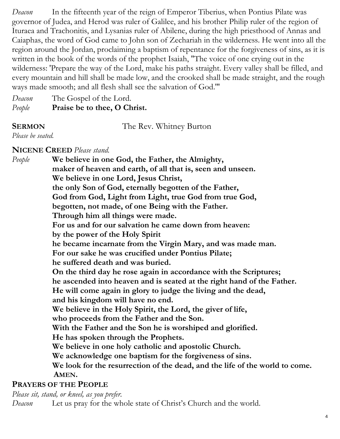*Deacon* In the fifteenth year of the reign of Emperor Tiberius, when Pontius Pilate was governor of Judea, and Herod was ruler of Galilee, and his brother Philip ruler of the region of Ituraea and Trachonitis, and Lysanias ruler of Abilene, during the high priesthood of Annas and Caiaphas, the word of God came to John son of Zechariah in the wilderness. He went into all the region around the Jordan, proclaiming a baptism of repentance for the forgiveness of sins, as it is written in the book of the words of the prophet Isaiah, "The voice of one crying out in the wilderness: 'Prepare the way of the Lord, make his paths straight. Every valley shall be filled, and every mountain and hill shall be made low, and the crooked shall be made straight, and the rough ways made smooth; and all flesh shall see the salvation of God.'"

*Deacon* The Gospel of the Lord. *People* **Praise be to thee, O Christ.**

**SERMON** The Rev. Whitney Burton

*Please be seated.*

**NICENE CREED** *Please stand.*

*People* **We believe in one God, the Father, the Almighty, maker of heaven and earth, of all that is, seen and unseen. We believe in one Lord, Jesus Christ, the only Son of God, eternally begotten of the Father, God from God, Light from Light, true God from true God, begotten, not made, of one Being with the Father. Through him all things were made. For us and for our salvation he came down from heaven: by the power of the Holy Spirit he became incarnate from the Virgin Mary, and was made man. For our sake he was crucified under Pontius Pilate; he suffered death and was buried. On the third day he rose again in accordance with the Scriptures; he ascended into heaven and is seated at the right hand of the Father. He will come again in glory to judge the living and the dead, and his kingdom will have no end. We believe in the Holy Spirit, the Lord, the giver of life, who proceeds from the Father and the Son. With the Father and the Son he is worshiped and glorified. He has spoken through the Prophets. We believe in one holy catholic and apostolic Church. We acknowledge one baptism for the forgiveness of sins. We look for the resurrection of the dead, and the life of the world to come. AMEN.**

**PRAYERS OF THE PEOPLE** 

*Please sit, stand, or kneel, as you prefer.*

*Deacon* Let us pray for the whole state of Christ's Church and the world.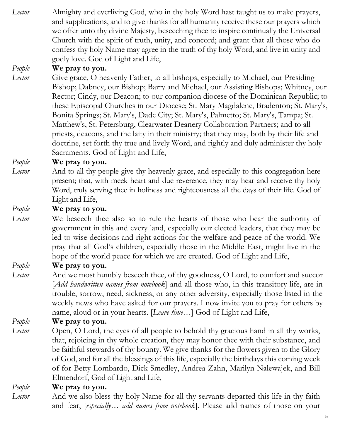*Lector* Almighty and everliving God, who in thy holy Word hast taught us to make prayers, and supplications, and to give thanks for all humanity receive these our prayers which we offer unto thy divine Majesty, beseeching thee to inspire continually the Universal Church with the spirit of truth, unity, and concord; and grant that all those who do confess thy holy Name may agree in the truth of thy holy Word, and live in unity and godly love. God of Light and Life,

### *People* **We pray to you.**

*Lector* Give grace, O heavenly Father, to all bishops, especially to Michael, our Presiding Bishop; Dabney, our Bishop; Barry and Michael, our Assisting Bishops; Whitney, our Rector; Cindy, our Deacon; to our companion diocese of the Dominican Republic; to these Episcopal Churches in our Diocese; St. Mary Magdalene, Bradenton; St. Mary's, Bonita Springs; St. Mary's, Dade City; St. Mary's, Palmetto; St. Mary's, Tampa; St. Matthew's, St. Petersburg, Clearwater Deanery Collaboration Partners; and to all priests, deacons, and the laity in their ministry; that they may, both by their life and doctrine, set forth thy true and lively Word, and rightly and duly administer thy holy Sacraments. God of Light and Life,

#### *People* **We pray to you.**

*Lector* And to all thy people give thy heavenly grace, and especially to this congregation here present; that, with meek heart and due reverence, they may hear and receive thy holy Word, truly serving thee in holiness and righteousness all the days of their life. God of Light and Life,

#### *People* **We pray to you.**

*Lector* We beseech thee also so to rule the hearts of those who bear the authority of government in this and every land, especially our elected leaders, that they may be led to wise decisions and right actions for the welfare and peace of the world. We pray that all God's children, especially those in the Middle East, might live in the hope of the world peace for which we are created. God of Light and Life,

#### *People* **We pray to you.**

*Lector* And we most humbly beseech thee, of thy goodness, O Lord, to comfort and succor [*Add handwritten names from notebook*] and all those who, in this transitory life, are in trouble, sorrow, need, sickness, or any other adversity, especially those listed in the weekly news who have asked for our prayers. I now invite you to pray for others by name, aloud or in your hearts. [*Leave time…*] God of Light and Life,

#### *People* **We pray to you.**

*Lector* Open, O Lord, the eyes of all people to behold thy gracious hand in all thy works, that, rejoicing in thy whole creation, they may honor thee with their substance, and be faithful stewards of thy bounty. We give thanks for the flowers given to the Glory of God, and for all the blessings of this life, especially the birthdays this coming week of for Betty Lombardo, Dick Smedley, Andrea Zahn, Marilyn Nalewajek, and Bill Elmendorf, God of Light and Life,

#### *People* **We pray to you.**

*Lector* And we also bless thy holy Name for all thy servants departed this life in thy faith and fear, [*especially… add names from notebook*]. Please add names of those on your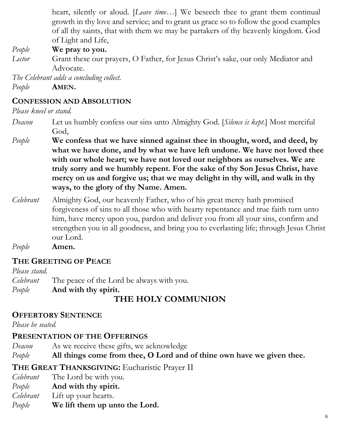heart, silently or aloud. [*Leave time…*] We beseech thee to grant them continual growth in thy love and service; and to grant us grace so to follow the good examples of all thy saints, that with them we may be partakers of thy heavenly kingdom. God of Light and Life,

*People* **We pray to you.**

*Lector* Grant these our prayers, O Father, for Jesus Christ's sake, our only Mediator and Advocate.

*The Celebrant adds a concluding collect. People* **AMEN.**

## **CONFESSION AND ABSOLUTION**

*Please kneel or stand.*

- *Deacon* Let us humbly confess our sins unto Almighty God. [*Silence is kept.*] Most merciful God,
- *People* **We confess that we have sinned against thee in thought, word, and deed, by what we have done, and by what we have left undone. We have not loved thee with our whole heart; we have not loved our neighbors as ourselves. We are truly sorry and we humbly repent. For the sake of thy Son Jesus Christ, have mercy on us and forgive us; that we may delight in thy will, and walk in thy ways, to the glory of thy Name. Amen.**
- *Celebrant* Almighty God, our heavenly Father, who of his great mercy hath promised forgiveness of sins to all those who with hearty repentance and true faith turn unto him, have mercy upon you, pardon and deliver you from all your sins, confirm and strengthen you in all goodness, and bring you to everlasting life; through Jesus Christ our Lord.

*People* **Amen.**

# **THE GREETING OF PEACE**

*Please stand. Celebrant* The peace of the Lord be always with you. *People* **And with thy spirit. THE HOLY COMMUNION**

## **OFFERTORY SENTENCE**

*Please be seated.*

# **PRESENTATION OF THE OFFERINGS**

*Deacon* As we receive these gifts, we acknowledge

*People* **All things come from thee, O Lord and of thine own have we given thee.**

# **THE GREAT THANKSGIVING:** Eucharistic Prayer II

- *Celebrant* The Lord be with you.
- *People* **And with thy spirit.**
- *Celebrant* Lift up your hearts.
- *People* **We lift them up unto the Lord.**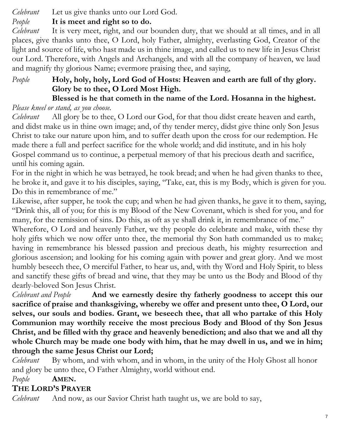*Celebrant* Let us give thanks unto our Lord God.

## *People* **It is meet and right so to do.**

*Celebrant* It is very meet, right, and our bounden duty, that we should at all times, and in all places, give thanks unto thee, O Lord, holy Father, almighty, everlasting God, Creator of the light and source of life, who hast made us in thine image, and called us to new life in Jesus Christ our Lord. Therefore, with Angels and Archangels, and with all the company of heaven, we laud and magnify thy glorious Name; evermore praising thee, and saying,

### *People* **Holy, holy, holy, Lord God of Hosts: Heaven and earth are full of thy glory. Glory be to thee, O Lord Most High. Blessed is he that cometh in the name of the Lord. Hosanna in the highest.**

## *Please kneel or stand, as you choose.*

*Celebrant* All glory be to thee, O Lord our God, for that thou didst create heaven and earth, and didst make us in thine own image; and, of thy tender mercy, didst give thine only Son Jesus Christ to take our nature upon him, and to suffer death upon the cross for our redemption. He made there a full and perfect sacrifice for the whole world; and did institute, and in his holy Gospel command us to continue, a perpetual memory of that his precious death and sacrifice, until his coming again.

For in the night in which he was betrayed, he took bread; and when he had given thanks to thee, he broke it, and gave it to his disciples, saying, "Take, eat, this is my Body, which is given for you. Do this in remembrance of me."

Likewise, after supper, he took the cup; and when he had given thanks, he gave it to them, saying, "Drink this, all of you; for this is my Blood of the New Covenant, which is shed for you, and for many, for the remission of sins. Do this, as oft as ye shall drink it, in remembrance of me."

Wherefore, O Lord and heavenly Father, we thy people do celebrate and make, with these thy holy gifts which we now offer unto thee, the memorial thy Son hath commanded us to make; having in remembrance his blessed passion and precious death, his mighty resurrection and glorious ascension; and looking for his coming again with power and great glory. And we most humbly beseech thee, O merciful Father, to hear us, and, with thy Word and Holy Spirit, to bless and sanctify these gifts of bread and wine, that they may be unto us the Body and Blood of thy dearly-beloved Son Jesus Christ.

*Celebrant and People* **And we earnestly desire thy fatherly goodness to accept this our sacrifice of praise and thanksgiving, whereby we offer and present unto thee, O Lord, our selves, our souls and bodies. Grant, we beseech thee, that all who partake of this Holy Communion may worthily receive the most precious Body and Blood of thy Son Jesus Christ, and be filled with thy grace and heavenly benediction; and also that we and all thy whole Church may be made one body with him, that he may dwell in us, and we in him; through the same Jesus Christ our Lord;** 

*Celebrant* By whom, and with whom, and in whom, in the unity of the Holy Ghost all honor and glory be unto thee, O Father Almighty, world without end.

## *People* **AMEN.**

## **THE LORD'S PRAYER**

*Celebrant* And now, as our Savior Christ hath taught us, we are bold to say,